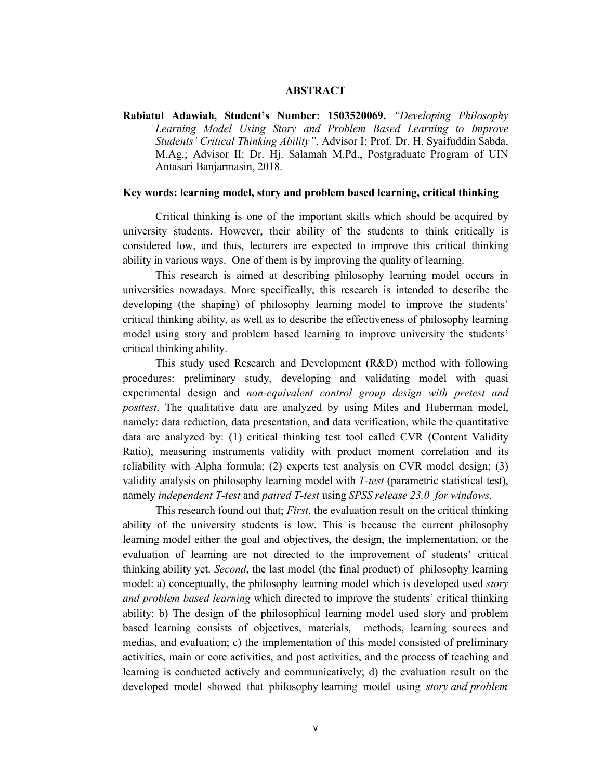## **ABSTRACT**

**Rabiatul Adawiah, Student's Number: 1503520069.** *"Developing Philosophy Learning Model Using Story and Problem Based Learning to Improve Students' Critical Thinking Ability"*. Advisor I: Prof. Dr. H. Syaifuddin Sabda, M.Ag.; Advisor II: Dr. Hj. Salamah M.Pd., Postgraduate Program of UIN Antasari Banjarmasin, 2018.

#### **Key words: learning model, story and problem based learning, critical thinking**

Critical thinking is one of the important skills which should be acquired by university students. However, their ability of the students to think critically is considered low, and thus, lecturers are expected to improve this critical thinking ability in various ways. One of them is by improving the quality of learning.

This research is aimed at describing philosophy learning model occurs in universities nowadays. More specifically, this research is intended to describe the developing (the shaping) of philosophy learning model to improve the students' critical thinking ability, as well as to describe the effectiveness of philosophy learning model using story and problem based learning to improve university the students' critical thinking ability.

This study used Research and Development (R&D) method with following procedures: preliminary study, developing and validating model with quasi experimental design and *non-equivalent control group design with pretest and posttest*. The qualitative data are analyzed by using Miles and Huberman model, namely: data reduction, data presentation, and data verification, while the quantitative data are analyzed by: (1) critical thinking test tool called CVR (Content Validity Ratio), measuring instruments validity with product moment correlation and its reliability with Alpha formula; (2) experts test analysis on CVR model design; (3) validity analysis on philosophy learning model with *T-test* (parametric statistical test), namely *independent T-test* and *paired T-test* using *SPSS release 23.0 for windows*.

This research found out that; *First*, the evaluation result on the critical thinking ability of the university students is low. This is because the current philosophy learning model either the goal and objectives, the design, the implementation, or the evaluation of learning are not directed to the improvement of students' critical thinking ability yet. *Second*, the last model (the final product) of philosophy learning model: a) conceptually, the philosophy learning model which is developed used *story and problem based learning* which directed to improve the students' critical thinking ability; b) The design of the philosophical learning model used story and problem based learning consists of objectives, materials, methods, learning sources and medias, and evaluation; c) the implementation of this model consisted of preliminary activities, main or core activities, and post activities, and the process of teaching and learning is conducted actively and communicatively; d) the evaluation result on the developed model showed that philosophy learning model using *story and problem*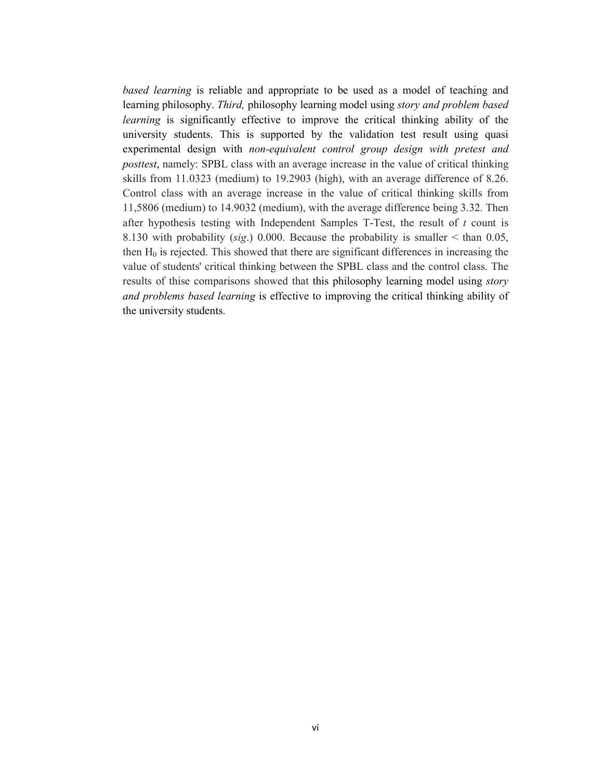*based learning* is reliable and appropriate to be used as a model of teaching and learning philosophy. *Third,* philosophy learning model using *story and problem based learning* is significantly effective to improve the critical thinking ability of the university students. This is supported by the validation test result using quasi experimental design with *non-equivalent control group design with pretest and posttest*, namely: SPBL class with an average increase in the value of critical thinking skills from 11.0323 (medium) to 19.2903 (high), with an average difference of 8.26. Control class with an average increase in the value of critical thinking skills from 11,5806 (medium) to 14.9032 (medium), with the average difference being 3.32. Then after hypothesis testing with Independent Samples T-Test, the result of *t* count is 8.130 with probability (*sig*.) 0.000. Because the probability is smaller < than 0.05, then  $H_0$  is rejected. This showed that there are significant differences in increasing the value of students' critical thinking between the SPBL class and the control class. The results of thise comparisons showed that this philosophy learning model using *story and problems based learning* is effective to improving the critical thinking ability of the university students.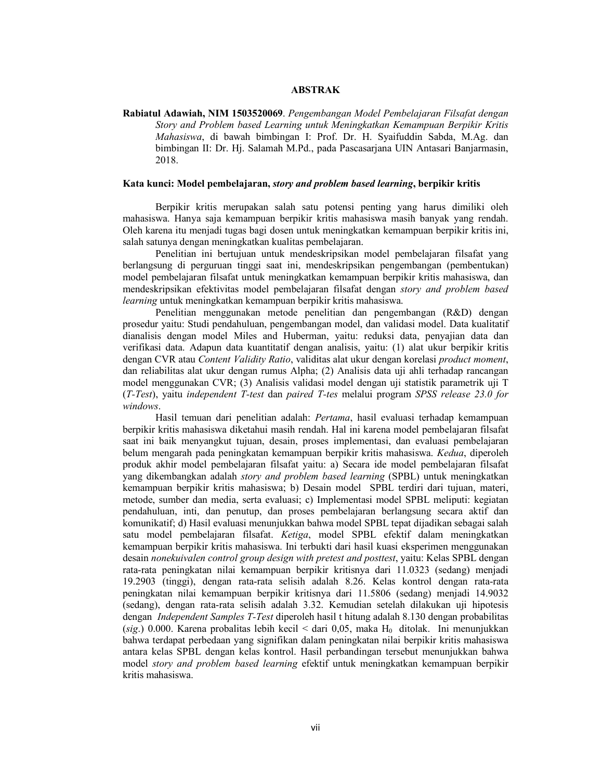### **ABSTRAK**

**Rabiatul Adawiah, NIM 1503520069**. *Pengembangan Model Pembelajaran Filsafat dengan Story and Problem based Learning untuk Meningkatkan Kemampuan Berpikir Kritis Mahasiswa*, di bawah bimbingan I: Prof. Dr. H. Syaifuddin Sabda, M.Ag. dan bimbingan II: Dr. Hj. Salamah M.Pd., pada Pascasarjana UIN Antasari Banjarmasin, 2018.

#### **Kata kunci: Model pembelajaran,** *story and problem based learning***, berpikir kritis**

Berpikir kritis merupakan salah satu potensi penting yang harus dimiliki oleh mahasiswa. Hanya saja kemampuan berpikir kritis mahasiswa masih banyak yang rendah. Oleh karena itu menjadi tugas bagi dosen untuk meningkatkan kemampuan berpikir kritis ini, salah satunya dengan meningkatkan kualitas pembelajaran.

Penelitian ini bertujuan untuk mendeskripsikan model pembelajaran filsafat yang berlangsung di perguruan tinggi saat ini, mendeskripsikan pengembangan (pembentukan) model pembelajaran filsafat untuk meningkatkan kemampuan berpikir kritis mahasiswa, dan mendeskripsikan efektivitas model pembelajaran filsafat dengan *story and problem based learning* untuk meningkatkan kemampuan berpikir kritis mahasiswa.

Penelitian menggunakan metode penelitian dan pengembangan (R&D) dengan prosedur yaitu: Studi pendahuluan, pengembangan model, dan validasi model. Data kualitatif dianalisis dengan model Miles and Huberman, yaitu: reduksi data, penyajian data dan verifikasi data. Adapun data kuantitatif dengan analisis, yaitu: (1) alat ukur berpikir kritis dengan CVR atau *Content Validity Ratio*, validitas alat ukur dengan korelasi *product moment*, dan reliabilitas alat ukur dengan rumus Alpha; (2) Analisis data uji ahli terhadap rancangan model menggunakan CVR; (3) Analisis validasi model dengan uji statistik parametrik uji T (*T-Test*), yaitu *independent T-test* dan *paired T-tes* melalui program *SPSS release 23.0 for windows*.

Hasil temuan dari penelitian adalah: *Pertama*, hasil evaluasi terhadap kemampuan berpikir kritis mahasiswa diketahui masih rendah. Hal ini karena model pembelajaran filsafat saat ini baik menyangkut tujuan, desain, proses implementasi, dan evaluasi pembelajaran belum mengarah pada peningkatan kemampuan berpikir kritis mahasiswa. *Kedua*, diperoleh produk akhir model pembelajaran filsafat yaitu: a) Secara ide model pembelajaran filsafat yang dikembangkan adalah *story and problem based learning* (SPBL) untuk meningkatkan kemampuan berpikir kritis mahasiswa; b) Desain model SPBL terdiri dari tujuan, materi, metode, sumber dan media, serta evaluasi; c) Implementasi model SPBL meliputi: kegiatan pendahuluan, inti, dan penutup, dan proses pembelajaran berlangsung secara aktif dan komunikatif; d) Hasil evaluasi menunjukkan bahwa model SPBL tepat dijadikan sebagai salah satu model pembelajaran filsafat. *Ketiga*, model SPBL efektif dalam meningkatkan kemampuan berpikir kritis mahasiswa. Ini terbukti dari hasil kuasi eksperimen menggunakan desain *nonekuivalen control group design with pretest and posttest*, yaitu: Kelas SPBL dengan rata-rata peningkatan nilai kemampuan berpikir kritisnya dari 11.0323 (sedang) menjadi 19.2903 (tinggi), dengan rata-rata selisih adalah 8.26. Kelas kontrol dengan rata-rata peningkatan nilai kemampuan berpikir kritisnya dari 11.5806 (sedang) menjadi 14.9032 (sedang), dengan rata-rata selisih adalah 3.32. Kemudian setelah dilakukan uji hipotesis dengan *Independent Samples T-Test* diperoleh hasil t hitung adalah 8.130 dengan probabilitas  $(sig.)$  0.000. Karena probalitas lebih kecil < dari 0,05, maka  $H_0$  ditolak. Ini menunjukkan bahwa terdapat perbedaan yang signifikan dalam peningkatan nilai berpikir kritis mahasiswa antara kelas SPBL dengan kelas kontrol. Hasil perbandingan tersebut menunjukkan bahwa model *story and problem based learning* efektif untuk meningkatkan kemampuan berpikir kritis mahasiswa.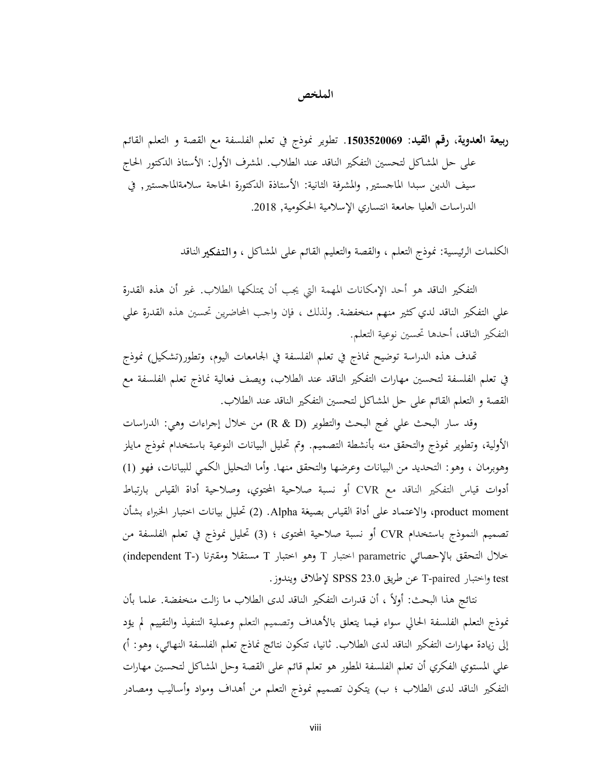# **الملخص**

**ربيعة العدوية، رقم القيد: .1503520069** تطوير نموذج في تعلم الفلسفة مع القصة و التعلم القائم على حل المشاكل لتحسين التفكير الناقد عند الطلاب. المشرف الأول: الأستاذ الدكتور الحاج سيف الدين سبدا الماجستير, والمشرفة الثانية: الأستاذة الدكتورة الحاجة سلامةالماجستير, في الدراسات العليا جامعة انتساري الإسلامية الحكومية, 2018.

الكلمات الرئيسية: نموذج التعلم ، والقصة والتعليم القائم على المشاكل ، والتفكالناقد

التفكير الناقد هو أحد الإمكانات المهمة التي يجب أن يمتلكها الطلاب. غير أن هذه القدرة علي التفكير الناقد لدي كثير منهم منخفضة. ولذلك ، فإن واجب المحاضرين تحسين هذه القدرة علي التفكير الناقد، أحدها تحسين نوعية التعلم.

دف هذه الدراسة توضيح نماذج في تعلم الفلسفة في الجامعات اليوم، وتطور(تشكيل) نموذج في تعلم الفلسفة لتحسين مهارات التفكير الناقد عند الطلاب، ويصف فعالية نماذج تعلم الفلسفة مع القصة و التعلم القائم على حل المشاكل لتحسين التفكير الناقد عند الطلاب.

وقد سار البحث علي ج البحث والتطوير (D & R (من خلال إجراءات وهي: الدراسات الأولية، وتطوير نموذج والتحقق منه بأنشطة التصميم. وتم تحليل البيانات النوعية باستخدام نموذج مايلز وهوبرمان ، وهو: التحديد من البيانات وعرضها والتحقق منها. وأما التحليل الكمي للبيانات، فهو (1) أدوات قياس التفكير الناقد مع CVR أو نسبة صلاحية المحتوي، وصلاحية أداة القياس بارتباط moment product، والاعتماد على أداة القياس بصيغة Alpha.) 2 (تحليل بيانات اختبار الخبراء بشأن تصميم النموذج باستخدام CVR أو نسبة صلاحية المحتوى ؛ (3) تحليل نموذج في تعلم الفلسفة من خلال التحقق بالإحصائي parametric اختبار T وهو اختبار T مستقلا ومقترنا (-T independent( test واختبار paired-T عن طريق 23.0 SPSS لإطلاق ويندوز.

نتائج هذا البحث: أولاً ، أن قدرات التفكير الناقد لدى الطلاب ما زالت منخفضة. علما بأن نموذج التعلم الفلسفة الحالي سواء فيما يتعلق بالأهداف وتصميم التعلم وعملية التنفيذ والتقييم لم يؤد إلى زيادة مهارات التفكير الناقد لدى الطلاب. ثانيا، تتكون نتائج نماذج تعلم الفلسفة النهائي، وهو: أ) علي المستوي الفكري أن تعلم الفلسفة المطور هو تعلم قائم على القصة وحل المشاكل لتحسين مهارات التفكير الناقد لدى الطلاب ؛ ب) يتكون تصميم نموذج التعلم من أهداف ومواد وأساليب ومصادر